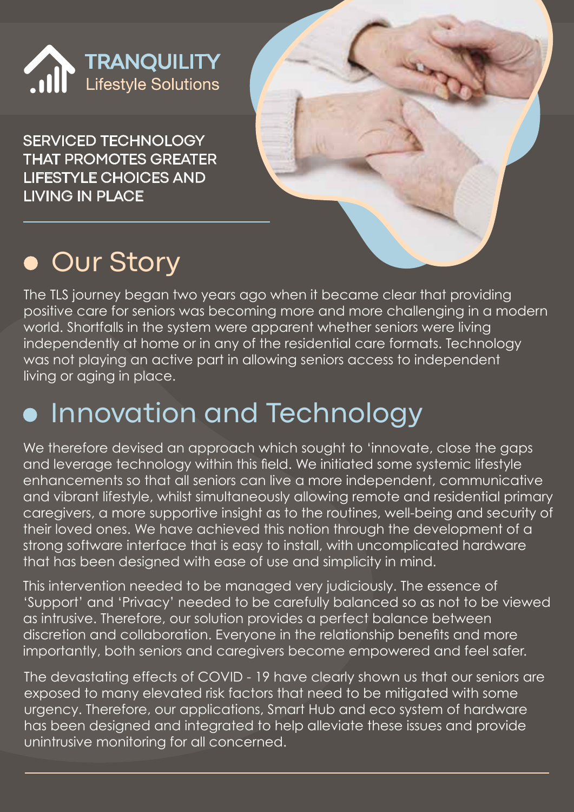

SERVICED TECHNOLOGY THAT PROMOTES GREATER LIFESTYLE CHOICES AND LIVING IN PLACE



# **.** Our Story

The TLS journey began two years ago when it became clear that providing positive care for seniors was becoming more and more challenging in a modern world. Shortfalls in the system were apparent whether seniors were living independently at home or in any of the residential care formats. Technology was not playing an active part in allowing seniors access to independent living or aging in place.

#### Innovation and Technology

We therefore devised an approach which sought to 'innovate, close the gaps and leverage technology within this field. We initiated some systemic lifestyle enhancements so that all seniors can live a more independent, communicative and vibrant lifestyle, whilst simultaneously allowing remote and residential primary caregivers, a more supportive insight as to the routines, well-being and security of their loved ones. We have achieved this notion through the development of a strong software interface that is easy to install, with uncomplicated hardware that has been designed with ease of use and simplicity in mind.

This intervention needed to be managed very judiciously. The essence of 'Support' and 'Privacy' needed to be carefully balanced so as not to be viewed as intrusive. Therefore, our solution provides a perfect balance between discretion and collaboration. Everyone in the relationship benefits and more importantly, both seniors and caregivers become empowered and feel safer.

The devastating effects of COVID - 19 have clearly shown us that our seniors are exposed to many elevated risk factors that need to be mitigated with some urgency. Therefore, our applications, Smart Hub and eco system of hardware has been designed and integrated to help alleviate these issues and provide unintrusive monitoring for all concerned.